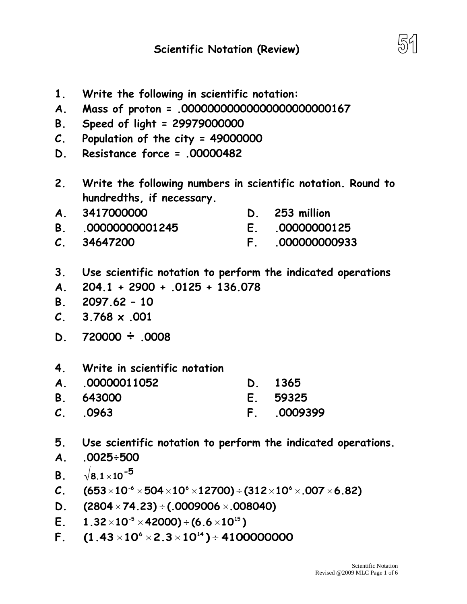- **A. Mass of proton = .00000000000000000000000167 B. Speed of light = 29979000000 2. Write the following numbers in scientific notation. Round to hundredths, if necessary. A. 3417000000 B. .00000000001245 C. 34647200 D. 253 million E. .00000000125 F. .000000000933 3. Use scientific notation to perform the indicated operations A. 204.1 + 2900 + .0125 + 136.078 B. 2097.62 – 10 C. 3.768 x .001 D. <sup>720000</sup>÷ .0008 4. Write in scientific notation A. .00000011052 B. 643000 C. .0963 D. 1365 E. 59325 F. .0009399 5. Use scientific notation to perform the indicated operations.**
- **A. .0025÷500**
- **B.**  $8.1\times$  10  $^{-5}$
- **C.**  $(653 \times 10^{-6} \times 504 \times 10^{6} \times 12700) \div (312 \times 10^{6} \times 0.007 \times 6.82)$
- **D. (2804 74.23) (.0009006 .008040)**
- **E.**  $1.32 \times 10^{-5} \times 42000$ ) ÷ (6.6 $\times 10^{15}$ )
- **F.**  $(1.43 \times 10^{6} \times 2.3 \times 10^{14}) \div 41000000000$
- 
- 
- 
- **C. Population of the city = 49000000**
- **D. Resistance force = .00000482**
- **1. Write the following in scientific notation:**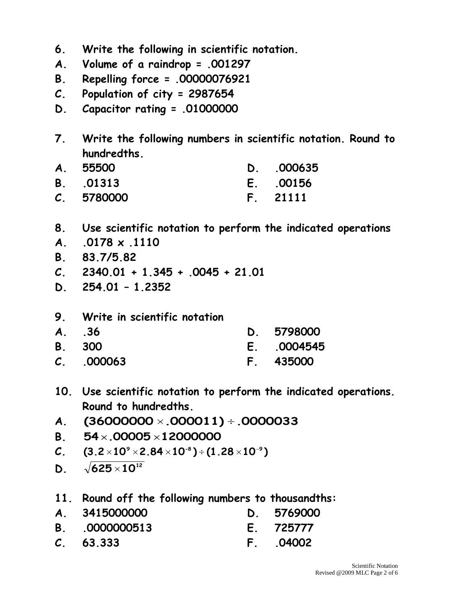- **6. Write the following in scientific notation.**
- **A. Volume of a raindrop = .001297**
- **B. Repelling force = .00000076921**
- **C. Population of city = 2987654**
- **D. Capacitor rating = .01000000**
- **7. Write the following numbers in scientific notation. Round to hundredths.**

| A. 55500   | D. 000635 |
|------------|-----------|
| B. 01313   | E. 00156  |
| C. 5780000 | F. 21111  |

- **8. Use scientific notation to perform the indicated operations**
- **A. .0178 x .1110**
- **B. 83.7/5.82**
- **C. 2340.01 + 1.345 + .0045 + 21.01**
- **D. 254.01 – 1.2352**
- **9. Write in scientific notation**

| A. 36         | D. 5798000 |
|---------------|------------|
| <b>B.</b> 300 | E. 0004545 |
| C. 000063     | F. 435000  |

- **10. Use scientific notation to perform the indicated operations. Round to hundredths.**
- **A. (36000000 .000011) .0000033**
- **B. 54 .00005 12000000**
- **C. (3.2 10 2.84 10 ) (1.28 10 ) 9 -8 9**
- **D.**  $\sqrt{625 \times 10^{12}}$
- **11. Round off the following numbers to thousandths:**
- **A. 3415000000 B. .0000000513 D. 5769000 E. 725777**
- **C. 63.333 F. .04002**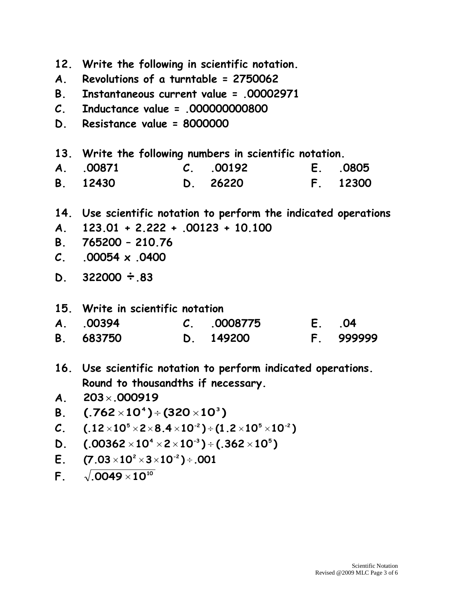**12. Write the following in scientific notation. A. Revolutions of a turntable = 2750062 B. Instantaneous current value = .00002971 C. Inductance value = .000000000800 D. Resistance value = 8000000 13. Write the following numbers in scientific notation. A. .00871 B. 12430 C. .00192 D. 26220 E. .0805 F. 12300 14. Use scientific notation to perform the indicated operations A. 123.01 + 2.222 + .00123 + 10.100 B. 765200 – 210.76 C. .00054 x .0400 D. <sup>322000</sup>÷.83 15. Write in scientific notation A. .00394 B. 683750 C. .0008775 D. 149200 E. .04 F. 999999 16. Use scientific notation to perform indicated operations. Round to thousandths if necessary. A. 203 .000919 B. (.762 10 ) (320 10 ) 4 3 C. (.12 10 2 8.4 10 ) (1.2 10 10 ) 5 -2 5 -2 D. (.00362 10 2 10 ) (.362 10 ) 4 -3 5 E.**  $(7.03 \times 10^{2} \times 3 \times 10^{-2}) \div .001$ **F.**  $\sqrt{0049 \times 10^{10}}$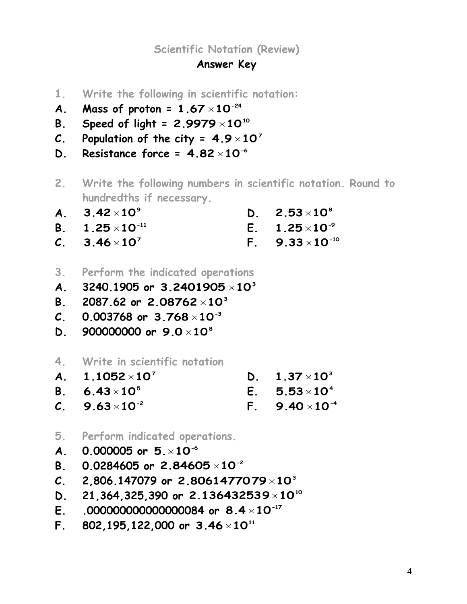**Scientific Notation (Review)**

## **Answer Key**

- **1. Write the following in scientific notation:**
- **A.** Mass of proton =  $1.67 \times 10^{-24}$
- $\mathsf{B.}$  Speed of light = 2.9979 $\times 10^{10}$
- C. Population of the city =  $4.9 \times 10^7$
- **D.** Resistance force =  $4.82 \times 10^{-6}$
- **2. Write the following numbers in scientific notation. Round to hundredths if necessary.**
- **A. 9 3.42 10 D. 8 2.53 10**
- **B.**  $1.25 \times 10^{-11}$  $E.$  **1.25**  $\times$ **10**<sup>-9</sup>
- **C. 7 3.46 10 F.**  $9.33 \times 10^{-10}$
- **3. Perform the indicated operations**
- **A. 3240.1905 or 3 3.2401905 10**
- **B. 2087.62 or 3 2.08762 10**
- **C. 0.003768 or -3 3.768 10**
- **D. 900000000 or 8 9.0 10**
- **4. Write in scientific notation**
- **A. 7 1.1052 10 B. 5 6.43 10 D.**  $1.37 \times 10^3$  $E. 5.53 \times 10^4$
- **C.**  $9.63 \times 10^{-2}$  $F. 9.40 \times 10^{-4}$
- **5. Perform indicated operations.**
- **A.** 0.000005 or 5. $\times$ 10<sup>-6</sup>
- **B. 0.0284605 or -2 2.84605 10**
- **C. 2,806.147079 or 3 2.8061477079 10**
- **D. 21,364,325,390 or <sup>10</sup> 2.136432539 10**
- **E. .000000000000000084 or -17 8.4 10**
- **F**. 802,195,122,000 or 3.46 $\times$ 10 $^{\text{11}}$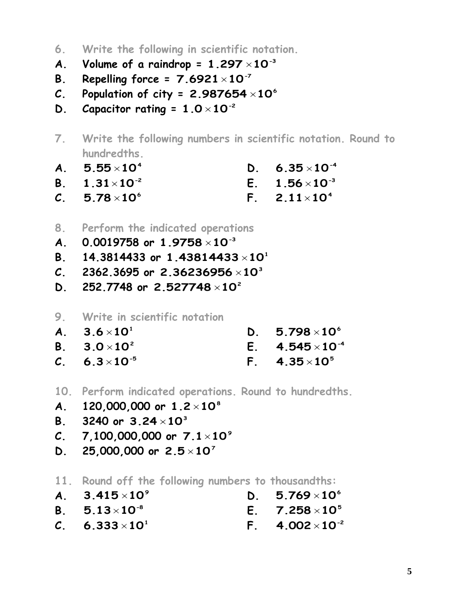- **6. Write the following in scientific notation.**
- A. Volume of a raindrop =  $1.297 \times 10^{-3}$
- **B. Repelling force = -7 7.6921 10**
- $C.$  Population of city = 2.987654 $\times10^6$
- **D.** Capacitor rating =  $1.0 \times 10^{-2}$
- **7. Write the following numbers in scientific notation. Round to hundredths.**
- **A.**  $5.55\times10^{4}$ **D.**  $6.35 \times 10^{-4}$
- **B.**  $1.31 \times 10^{-2}$  $E.$  **1.56**  $\times$ 10<sup>-3</sup>
- **C. 6 5.78 10 F. 4 2.11 10**
- **8. Perform the indicated operations**
- **A. 0.0019758 or -3 1.9758 10**
- **B. 14.3814433 or 1 1.43814433 10**
- **C. 2362.3695 or 3 2.36236956 10**
- **D. 252.7748 or 2 2.527748 10**
- **9. Write in scientific notation**
- **A. 1 3.6 10 D. 6 5.798 10**
- **B. 2 3.0 10**  $E.$  4.545 $\times$ 10<sup>-4</sup>
- **C.**  $6.3 \times 10^{-5}$  $F. 4.35 \times 10^{5}$
- **10. Perform indicated operations. Round to hundredths.**
- **A. 120,000,000 or 8 1.2 10**
- **B. 3240 or 3 3.24 10**
- **C. 7,100,000,000 or 9 7.1 10**
- **D. 25,000,000 or 7 2.5 10**
- **11. Round off the following numbers to thousandths:**
- **A. 9 3.415 10 D. 6 5.769 10**
- **B.**  $5.13 \times 10^{-8}$ **E. 5 7.258 10**
- $C. 6.333 \times 10^{1}$ **F.**  $4.002 \times 10^{-2}$